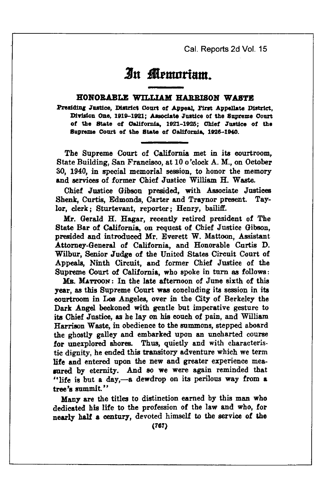Cal. Reports 2d Vol. 15

# An Memoriam

## HONORABLE WILLIAM HARRISON WASTE

Presiding Justice, District Court of Appeal, First Appellate District, Division One, 1919-1921; Associate Justice of the Supreme Court of the State of California, 1921-1925; Chief Justice of the Supreme Court of the State of California, 1926-1940.

The Supreme Court of California met in its courtroom. State Building, San Francisco, at 10 o'clock A. M., on October 30, 1940, in special memorial session, to honor the memory and services of former Chief Justice William H. Waste.

Chief Justice Gibson presided, with Associate Justices Shenk, Curtis, Edmonds, Carter and Traynor present. Taylor, clerk; Sturtevant, reporter; Henry, bailiff.

Mr. Gerald H. Hagar, recently retired president of The State Bar of California, on request of Chief Justice Gibson, presided and introduced Mr. Everett W. Mattoon, Assistant Attorney-General of California, and Honorable Curtis D. Wilbur, Senior Judge of the United States Circuit Court of Appeals, Ninth Circuit, and former Chief Justice of the Supreme Court of California, who spoke in turn as follows:

MR. MATTOON: In the late afternoon of June sixth of this year, as this Supreme Court was concluding its session in its courtroom in Los Angeles, over in the City of Berkeley the Dark Angel beckoned with gentle but imperative gesture to its Chief Justice, as he lay on his couch of pain, and William Harrison Waste, in obedience to the summons, stepped aboard the ghostly galley and embarked upon an uncharted course for unexplored shores. Thus, quietly and with characteristic dignity, he ended this transitory adventure which we term life and entered upon the new and greater experience measured by eternity. And so we were again reminded that "life is but a day,-a dewdrop on its perilous way from a tree's summit."

Many are the titles to distinction earned by this man who dedicated his life to the profession of the law and who, for nearly half a century, devoted himself to the service of the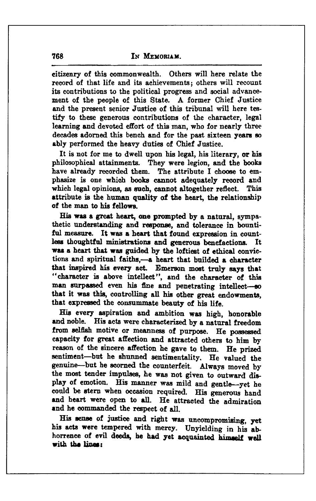citizenry of this commonwealth. Others will here relate the record of that life and its achievements; others will recount its contributions to the political progress and social advancement of the people of this State. A former Chief Justice and the present senior Justice of this tribunal will here testify to these generous contributions of the character, legal learning and devoted effort of this man, who for nearly three decades adorned this bench and for the past sixteen years so ably performed the heavy duties of Chief Justice.

It is not for me to dwell upon his legal, his literary, or his philosophical attainments. They were legion, and the books have already recorded them. The attribute I choose to emphasize is one which books cannot adequately record and which legal opinions, as such, cannot altogether reflect. This attribute is the human quality of the heart, the relationship of the man to his fellows.

His was a great heart, one prompted by a natural, sympathetic understanding and response, and tolerance in bountiful measure. It was a heart that found expression in countless thoughtful ministrations and generous benefactions. It was a heart that was guided by the loftiest of ethical convictions and spiritual faiths.-- a heart that builded a character that inspired his every act. Emerson most truly says that "character is above intellect", and the character of this man surpassed even his fine and penetrating intellect-80 that it was this, controlling all his other great endowments, that expressed the consummate beauty of his life.

His every aspiration and ambition was high, honorable and noble. His acts were characterized by a natural freedom from selfish motive or meanness of purpose. He possessed capacity for great affection and attracted others to him by reason of the sincere affection he gave to them. He prized sentiment-but he shunned sentimentality. He valued the genuine-but he scorned the counterfeit. Always moved by the most tender impulses, he was not given to outward display of emotion. His manner was mild and gentle-yet he could be stern when occasion required. His generous hand and heart were open to all. He attracted the admiration and he commanded the respect of all.

His sense of justice and right was uncompromising, yet his acts were tempered with mercy. Unyielding in his abhorrence of evil deeds, he had yet acquainted himself well with the lines: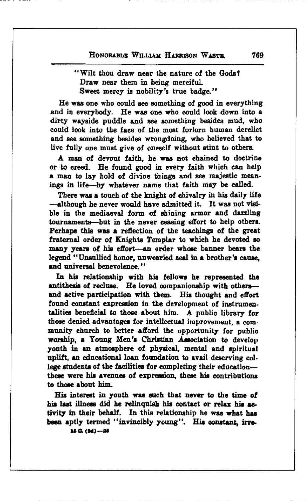## "Wilt thou draw near the nature of the Gods! Draw near them in being merciful. Sweet mercy is nobility's true badge."

He was one who could see something of good in everything and in everybody. He was one who could look down into a dirty wayside puddle and see something besides mud, who could look into the face of the most forlorn human derelict and see something besides wrongdoing, who believed that to live fully one must give of oneself without stint to others.

A man of devout faith, he was not chained to doctrine or to creed. He found good in every faith which can help a man to lay hold of divine things and see majestic meanings in life-by whatever name that faith may be called.

There was a touch of the knight of chivalry in his daily life -although he never would have admitted it. It was not visible in the mediaeval form of shining armor and dazzling tournaments—but in the never ceasing effort to help others. Perhaps this was a reflection of the teachings of the great fraternal order of Knights Templar to which he devoted so many years of his effort-an order whose banner bears the legend "Unsullied honor, unwearied zeal in a brother's cause. and universal benevolence"

In his relationship with his fellows he represented the antithesis of recluse. He loved companionship with othersand active participation with them. His thought and effort found constant expression in the development of instrumentalities beneficial to those about him. A public library for those denied advantages for intellectual improvement, a community church to better afford the opportunity for public worship, a Young Men's Christian Association to develop youth in an atmosphere of physical, mental and spiritual uplift, an educational loan foundation to avail deserving college students of the facilities for completing their educationthese were his avenues of expression, these his contributions to those about him.

His interest in youth was such that never to the time of his last illness did he relinquish his contact or relax his activity in their behalf. In this relationship he was what has been aptly termed "invincibly young". His constant, irre- $15 \text{ G.} (34) - 25$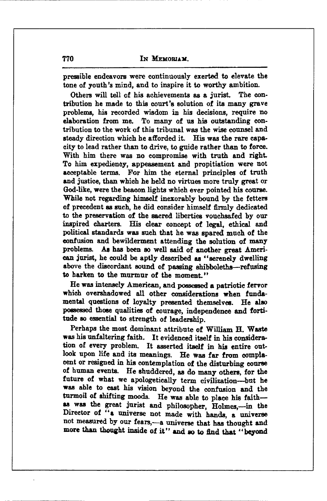pressible endeavors were continuously exerted to elevate the tone of youth's mind, and to inspire it to worthy ambition.

Others will tell of his achievements as a jurist. The contribution he made to this court's solution of its many grave problems, his recorded wisdom in his decisions, require no elaboration from me. To many of us his outstanding contribution to the work of this tribunal was the wise counsel and steady direction which he afforded it. His was the rare capacity to lead rather than to drive, to guide rather than to force. With him there was no compromise with truth and right. To him expediency, appeasement and propitiation were not acceptable terms. For him the eternal principles of truth and justice, than which he held no virtues more truly great or God-like, were the beacon lights which ever pointed his course. While not regarding himself inexorably bound by the fetters of precedent as such, he did consider himself firmly dedicated to the preservation of the sacred liberties vouchsafed by our inspired charters. His clear concept of legal, ethical and political standards was such that he was spared much of the confusion and bewilderment attending the solution of many problems. As has been so well said of another great American jurist, he could be aptly described as "serenely dwelling above the discordant sound of passing shibboleths—refusing to harken to the murmur of the moment."

He was intensely American, and possessed a patriotic fervor which overshadowed all other considerations when fundamental questions of loyalty presented themselves. He also possessed those qualities of courage, independence and fortitude so essential to strength of leadership.

Perhaps the most dominant attribute of William H. Waste was his unfaltering faith. It evidenced itself in his consideration of every problem. It asserted itself in his entire outlook upon life and its meanings. He was far from complacent or resigned in his contemplation of the disturbing course of human events. He shuddered, as do many others, for the future of what we apologetically term civilization-but he was able to cast his vision beyond the confusion and the turmoil of shifting moods. He was able to place his faithas was the great jurist and philosopher, Holmes,-in the Director of "a universe not made with hands, a universe not measured by our fears,-a universe that has thought and more than thought inside of it" and so to find that "beyond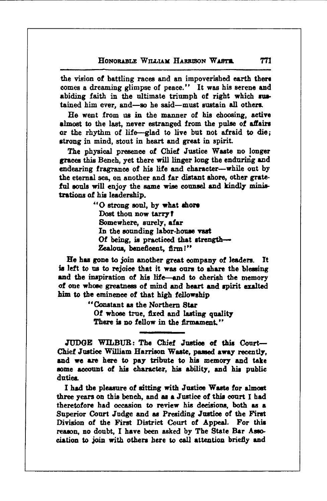the vision of battling races and an impoverished earth there comes a dreaming glimpse of peace." It was his serene and abiding faith in the ultimate triumph of right which sustained him ever. and-so he said-must sustain all others.

He went from us in the manner of his choosing, active almost to the last, never estranged from the pulse of affairs or the rhythm of life-glad to live but not afraid to die: strong in mind, stout in heart and great in spirit.

The physical presence of Chief Justice Waste no longer graces this Bench, yet there will linger long the enduring and endearing fragrance of his life and character-while out by the eternal sea, on another and far distant shore, other grateful souls will enjoy the same wise counsel and kindly ministrations of his leadership.

> "O strong soul, by what shore Dost thou now tarry? Somewhere, surely, afar In the sounding labor-house vast Of being, is practiced that strength-Zealous, beneficent, firm!"

He has gone to join another great company of leaders. It is left to us to rejoice that it was ours to share the blessing and the inspiration of his life and to cherish the memory of one whose greatness of mind and heart and spirit exalted him to the eminence of that high fellowship

> "Constant as the Northern Star Of whose true, fixed and lasting quality There is no fellow in the firmament."

JUDGE WILBUR: The Chief Justice of this Court-Chief Justice William Harrison Waste, passed away recently, and we are here to pay tribute to his memory and take some account of his character, his ability, and his public duties.

I had the pleasure of sitting with Justice Waste for almost three years on this bench, and as a Justice of this court I had theretofore had occasion to review his decisions, both as a Superior Court Judge and as Presiding Justice of the First Division of the First District Court of Appeal. For this reason, no doubt, I have been asked by The State Bar Association to join with others here to call attention briefly and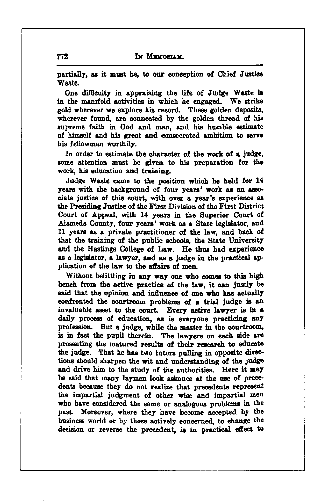partially, as it must be, to our conception of Chief Justice Waste.

One difficulty in appraising the life of Judge Waste is in the manifold activities in which he engaged. We strike gold wherever we explore his record. These golden deposits, wherever found, are connected by the golden thread of his supreme faith in God and man, and his humble estimate of himself and his great and consecrated ambition to serve his fellowman worthily.

In order to estimate the character of the work of a judge, some attention must be given to his preparation for the work, his education and training.

Judge Waste came to the position which he held for 14 years with the background of four years' work as an associate justice of this court, with over a vear's experience as the Presiding Justice of the First Division of the First District Court of Appeal, with 14 years in the Superior Court of Alameda County, four years' work as a State legislator, and 11 years as a private practitioner of the law, and back of that the training of the public schools, the State University and the Hastings College of Law. He thus had experience as a legislator, a lawyer, and as a judge in the practical application of the law to the affairs of men

Without belittling in any way one who comes to this high bench from the active practice of the law, it can justly be said that the opinion and influence of one who has actually confronted the courtroom problems of a trial judge is an invaluable asset to the court. Every active lawyer is in a daily process of education, as is everyone practicing any profession. But a judge, while the master in the courtroom, is in fact the pupil therein. The lawyers on each side are presenting the matured results of their research to educate the judge. That he has two tutors pulling in opposite directions should sharpen the wit and understanding of the judge and drive him to the study of the authorities. Here it may be said that many laymen look askance at the use of precedents because they do not realize that precedents represent the impartial judgment of other wise and impartial men who have considered the same or analogous problems in the past. Moreover, where they have become accepted by the business world or by those actively concerned, to change the decision or reverse the precedent, is in practical effect to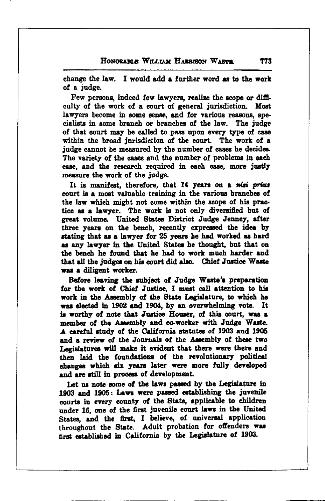change the law. I would add a further word as to the work of a judge.

Few persons, indeed few lawyers, realize the scope or difficulty of the work of a court of general jurisdiction. Most lawyers become in some sense, and for various reasons, specialists in some branch or branches of the law. The judge of that court may be called to pass upon every type of case within the broad jurisdiction of the court. The work of a judge cannot be measured by the number of cases he decides. The variety of the cases and the number of problems in each case, and the research required in each case, more justly measure the work of the judge.

It is manifest, therefore, that 14 years on a misi prius court is a most valuable training in the various branches of the law which might not come within the scope of his practice as a lawyer. The work is not only diversified but of great volume. United States District Judge Jenney, after three years on the bench, recently expressed the idea by stating that as a lawyer for 25 years he had worked as hard as any lawyer in the United States he thought, but that on the bench he found that he had to work much harder and that all the judges on his court did also. Chief Justice Waste was a diligent worker.

Before leaving the subject of Judge Waste's preparation for the work of Chief Justice. I must call attention to his work in the Assembly of the State Legislature, to which he was elected in 1902 and 1904, by an overwhelming vote. It is worthy of note that Justice Houser, of this court, was a member of the Assembly and co-worker with Judge Waste. A careful study of the California statutes of 1903 and 1905 and a review of the Journals of the Assembly of these two Legislatures will make it evident that there were there and then laid the foundations of the revolutionary political changes which six years later were more fully developed and are still in process of development.

Let us note some of the laws passed by the Legislature in 1903 and 1905: Laws were passed establishing the juvenile courts in every county of the State, applicable to children under 16, one of the first juvenile court laws in the United States, and the first, I believe, of universal application throughout the State. Adult probation for offenders was first established in California by the Legislature of 1903.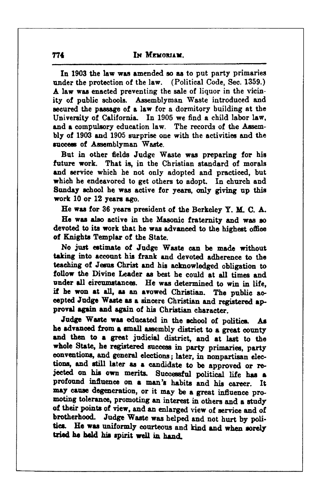In 1903 the law was amended so as to put party primaries under the protection of the law. (Political Code, Sec. 1359.) A law was enacted preventing the sale of liquor in the vicinity of public schools. Assemblyman Waste introduced and secured the passage of a law for a dormitory building at the University of California. In 1905 we find a child labor law, and a compulsory education law. The records of the Assembly of 1903 and 1905 surprise one with the activities and the success of Assemblyman Waste.

But in other fields Judge Waste was preparing for his future work. That is, in the Christian standard of morals and service which he not only adopted and practiced, but which he endeavored to get others to adopt. In church and Sunday school he was active for years, only giving up this work 10 or 12 years ago.

He was for 36 years president of the Berkeley Y. M. C. A.

He was also active in the Masonic fraternity and was so devoted to its work that he was advanced to the highest office of Knights Templar of the State.

No just estimate of Judge Waste can be made without taking into account his frank and devoted adherence to the teaching of Jesus Christ and his acknowledged obligation to follow the Divine Leader as best he could at all times and under all circumstances. He was determined to win in life. if he won at all, as an avowed Christian. The public accepted Judge Waste as a sincere Christian and registered approval again and again of his Christian character.

Judge Waste was educated in the school of politics. As he advanced from a small assembly district to a great county and then to a great judicial district, and at last to the whole State, he registered success in party primaries, party conventions, and general elections; later, in nonpartisan elections, and still later as a candidate to be approved or rejected on his own merits. Successful political life has a profound influence on a man's habits and his career. It may cause degeneration, or it may be a great influence promoting tolerance, promoting an interest in others and a study of their points of view, and an enlarged view of service and of brotherhood. Judge Waste was helped and not hurt by politics. He was uniformly courteous and kind and when sorely tried he held his spirit well in hand.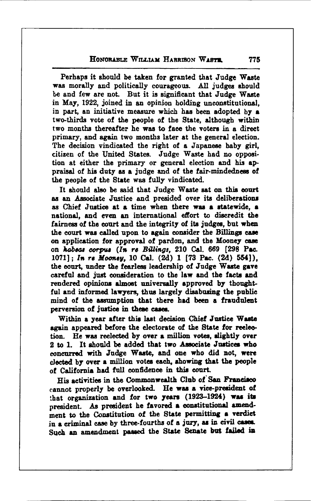### HONORABLE WILLIAM HARRISON WARTH

Perhaps it should be taken for granted that Judge Waste was morally and politically courageous. All judges should be and few are not. But it is significant that Judge Waste in May, 1922, joined in an opinion holding unconstitutional. in part, an initiative measure which has been adopted by a two-thirds vote of the people of the State, although within two months thereafter he was to face the voters in a direct primary, and again two months later at the general election. The decision vindicated the right of a Japanese baby girl. citizen of the United States. Judge Waste had no opposition at either the primary or general election and his appraisal of his duty as a judge and of the fair-mindedness of the people of the State was fully vindicated.

It should also be said that Judge Waste sat on this court as an Associate Justice and presided over its deliberations as Chief Justice at a time when there was a statewide. a national. and even an international effort to discredit the fairness of the court and the integrity of its judges, but when the court was called upon to again consider the Billings case on application for approval of pardon, and the Mooney case on habeas corpus (In re Billings, 210 Cal. 669 [298 Pac. 1071]; In re Mooney, 10 Cal. (2d) 1 [73 Pac. (2d) 554]). the court, under the fearless leadership of Judge Waste gave careful and just consideration to the law and the facts and rendered opinions almost universally approved by thoughtful and informed lawyers, thus largely disabusing the public mind of the assumption that there had been a fraudulent perversion of justice in these cases.

Within a year after this last decision Chief Justice Waste again appeared before the electorate of the State for reelection. He was reelected by over a million votes, slightly over 2 to 1. It should be added that two Associate Justices who concurred with Judge Waste, and one who did not, were elected by over a million votes each, showing that the people of California had full confidence in this court.

His activities in the Commonwealth Club of San Francisco cannot properly be overlooked. He was a vice-president of that organization and for two years (1923-1924) was its president. As president he favored a constitutional amendment to the Constitution of the State permitting a verdict in a criminal case by three-fourths of a jury, as in civil cases. Such an amendment passed the State Senate but failed in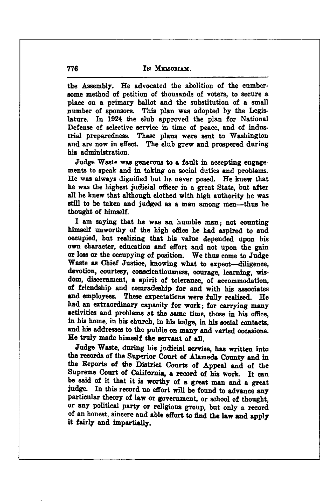the Assembly. He advocated the abolition of the cumbersome method of petition of thousands of voters, to secure a place on a primary hallot and the substitution of a small number of sponsors. This plan was adopted by the Legislature. In 1924 the club approved the plan for National Defense of selective service in time of peace, and of industrial preparedness. These plans were sent to Washington and are now in effect. The club grew and prospered during his administration.

Judge Waste was generous to a fault in accepting engagements to speak and in taking on social duties and problems. He was always dignified but he never posed. He knew that he was the highest judicial officer in a great State, but after all he knew that although clothed with high authority he was still to be taken and judged as a man among men-thus he thought of himself.

I am saying that he was an humble man; not counting himself unworthy of the high office he had aspired to and occupied, but realizing that his value depended upon his own character, education and effort and not upon the gain or loss or the occupying of position. We thus come to Judge Waste as Chief Justice, knowing what to expect-diligence, devotion, courtesy, conscientiousness, courage, learning, wisdom, discernment, a spirit of tolerance, of accommodation, of friendship and comradeship for and with his associates and employees. These expectations were fully realized. He had an extraordinary capacity for work; for carrying many activities and problems at the same time, those in his office, in his home, in his church, in his lodge, in his social contacts, and his addresses to the public on many and varied occasions. He truly made himself the servant of all.

Judge Waste, during his judicial service, has written into the records of the Superior Court of Alameda County and in the Reports of the District Courts of Appeal and of the Supreme Court of California, a record of his work. It can be said of it that it is worthy of a great man and a great judge. In this record no effort will be found to advance any particular theory of law or government, or school of thought, or any political party or religious group, but only a record of an honest, sincere and able effort to find the law and apply it fairly and impartially.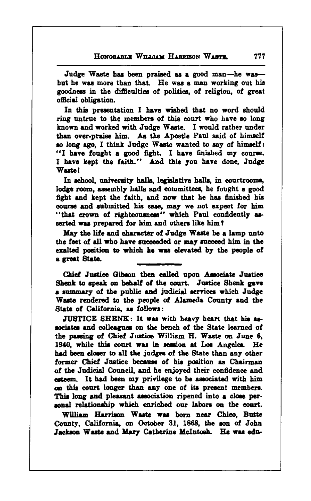Judge Waste has been praised as a good man-he wasbut he was more than that. He was a man working out his goodness in the difficulties of politics, of religion, of great official obligation.

In this presentation I have wished that no word should ring untrue to the members of this court who have so long known and worked with Judge Waste. I would rather under than over-praise him. As the Apostle Paul said of himself so long ago. I think Judge Waste wanted to say of himself: "I have fought a good fight. I have finished my course. I have kept the faith." And this you have done. Judge **Waste!** 

In school, university halls, legislative halls, in courtrooms, lodge room, assembly halls and committees, he fought a good fight and kept the faith, and now that he has finished his course and submitted his case, may we not expect for him "that crown of righteousness" which Paul confidently asserted was prepared for him and others like him?

May the life and character of Judge Waste be a lamp unto the feet of all who have succeeded or may succeed him in the exalted position to which he was elevated by the people of a great State.

Chief Justice Gibson then called upon Associate Justice Shenk to speak on behalf of the court. Justice Shenk gave a summary of the public and judicial services which Judge Waste rendered to the people of Alameda County and the State of California, as follows:

JUSTICE SHENK: It was with heavy heart that his associates and colleagues on the bench of the State learned of the passing of Chief Justice William H. Waste on June 6. 1940, while this court was in session at Los Angeles. He had been closer to all the judges of the State than any other former Chief Justice because of his position as Chairman of the Judicial Council, and he enjoyed their confidence and esteem. It had been my privilege to be associated with him on this court longer than any one of its present members. This long and pleasant association ripened into a close personal relationship which enriched our labors on the court.

William Harrison Waste was born near Chico, Butte County, California, on October 31, 1868, the son of John Jackson Waste and Mary Catherine McIntosh. He was edu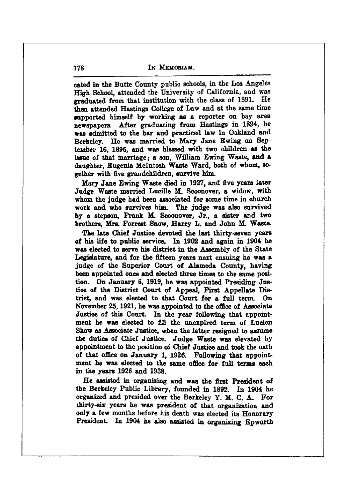IN MEMORIAM.

cated in the Butte County public schools, in the Los Angeles High School, attended the University of California, and was graduated from that institution with the class of 1891. He then attended Hastings College of Law and at the same time supported himself by working as a reporter on bay area newspapers. After graduating from Hastings in 1894, he was admitted to the bar and practiced law in Oakland and Berkeley. He was married to Mary Jane Ewing on September 16, 1896, and was blessed with two children as the issue of that marriage; a son, William Ewing Waste, and a daughter. Eugenia McIntosh Waste Ward, both of whom, together with five grandchildren, survive him.

Mary Jane Ewing Waste died in 1927, and five years later Judge Waste married Lucille M. Scoonover, a widow. with whom the judge had been associated for some time in church work and who survives him. The judge was also survived by a stepson, Frank M. Scoonover, Jr., a sister and two brothers, Mrs. Forrest Snow, Harry L. and John M. Waste.

The late Chief Justice devoted the last thirty-seven years of his life to public service. In 1902 and again in 1904 he was elected to serve his district in the Assembly of the State Legislature, and for the fifteen years next ensuing he was a judge of the Superior Court of Alameda County, having been appointed once and elected three times to the same position. On January 6, 1919, he was appointed Presiding Justice of the District Court of Appeal, First Appellate District, and was elected to that Court for a full term. On November 25, 1921, he was appointed to the office of Associate Justice of this Court. In the year following that appointment he was elected to fill the unexpired term of Lucien Shaw as Associate Justice, when the latter resigned to assume the duties of Chief Justice. Judge Waste was elevated by appointment to the position of Chief Justice and took the oath of that office on January 1, 1926. Following that appointment he was elected to the same office for full terms each in the years 1926 and 1938.

He assisted in organizing and was the first President of the Berkeley Public Library, founded in 1892. In 1904 he organized and presided over the Berkeley Y. M. C. A. For thirty-six years he was president of that organization and only a few months before his death was elected its Honorary President. In 1904 he also assisted in organizing Epworth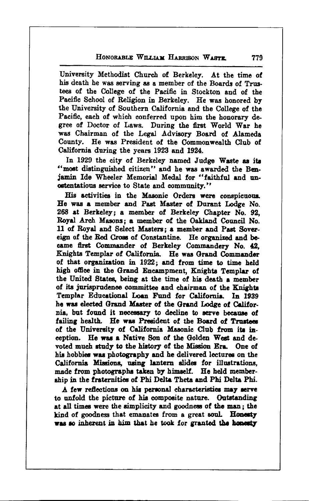### HONORABLE WILLIAM HARRIEON WARTE

University Methodist Church of Berkeley. At the time of his death he was serving as a member of the Boards of Trustees of the College of the Pacific in Stockton and of the Pacific School of Religion in Berkeley. He was honored by the University of Southern California and the College of the Pacific, each of which conferred upon him the honorary degree of Doctor of Laws. During the first World War he was Chairman of the Legal Advisory Board of Alameda County. He was President of the Commonwealth Club of California during the years 1923 and 1924.

In 1929 the city of Berkeley named Judge Waste as its "most distinguished citizen" and he was awarded the Beniamin Ide Wheeler Memorial Medal for "faithful and unostentatious service to State and community."

His activities in the Masonic Orders were conspicuous. He was a member and Past Master of Durant Lodge No. 268 at Berkeley; a member of Berkeley Chapter No. 92. Roval Arch Masons: a member of the Oakland Council No. 11 of Royal and Select Masters: a member and Past Sovereign of the Red Cross of Constantine. He organized and became first Commander of Berkeley Commandery No. 42. Knights Templar of California. He was Grand Commander of that organization in 1922; and from time to time held high office in the Grand Encampment, Knights Templar of the United States, being at the time of his death a member of its jurisprudence committee and chairman of the Knights Templar Educational Loan Fund for California. In 1939 he was elected Grand Master of the Grand Lodge of California, but found it necessary to decline to serve because of failing health. He was President of the Board of Trustees of the University of California Masonic Club from its inception. He was a Native Son of the Golden West and devoted much study to the history of the Mission Era. One of his hobbies was photography and he delivered lectures on the California Missions, using lantern slides for illustrations, made from photographs taken by himself. He held membership in the fraternities of Phi Delta Theta and Phi Delta Phi.

A few reflections on his personal characteristics may serve to unfold the picture of his composite nature. Outstanding at all times were the simplicity and goodness of the man: the kind of goodness that emanates from a great soul. Honesty was so inherent in him that he took for granted the honesty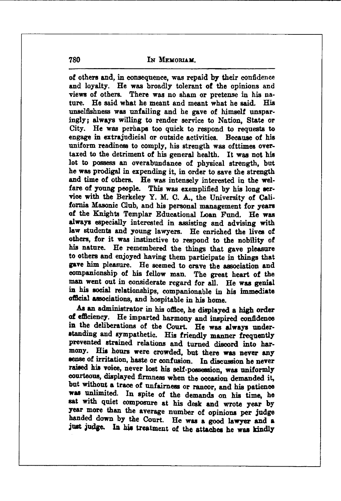**IN MEMORIAM** 

of others and, in consequence, was repaid by their confidence and loyalty. He was broadly tolerant of the opinions and views of others. There was no sham or pretense in his nature. He said what he meant and meant what he said. His unselfishness was unfailing and he gave of himself unsparingly: always willing to render service to Nation, State or City. He was perhaps too quick to respond to requests to engage in extraindicial or outside activities. Because of his uniform readiness to comply, his strength was ofttimes overtaxed to the detriment of his general health. It was not his lot to possess an overabundance of physical strength, but he was prodigal in expending it, in order to save the strength and time of others. He was intensely interested in the welfare of young people. This was exemplified by his long service with the Berkeley Y. M. C. A., the University of California Masonic Club. and his personal management for years of the Knights Templar Educational Loan Fund. He was always especially interested in assisting and advising with law students and young lawyers. He enriched the lives of others, for it was instinctive to respond to the nobility of his nature. He remembered the things that gave pleasure to others and enjoyed having them participate in things that gave him pleasure. He seemed to crave the association and companionship of his fellow man. The great heart of the man went out in considerate regard for all. He was genial in his social relationships, companionable in his immediate official associations, and hospitable in his home.

As an administrator in his office, he displayed a high order of efficiency. He imparted harmony and inspired confidence in the deliberations of the Court. He was always understanding and sympathetic. His friendly manner frequently prevented strained relations and turned discord into harmony. His hours were crowded, but there was never any sense of irritation, haste or confusion. In discussion he never raised his voice, never lost his self-possession, was uniformly courteous, displayed firmness when the occasion demanded it, but without a trace of unfairness or rancor, and his patience was unlimited. In spite of the demands on his time, he sat with quiet composure at his desk and wrote year by year more than the average number of opinions per judge handed down by the Court. He was a good lawyer and a just judge. In his treatment of the attaches he was kindly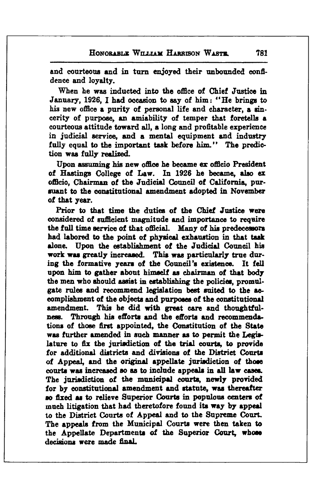and courteous and in turn enjoyed their unbounded confidence and loyalty.

When he was inducted into the office of Chief Justice in January, 1926. I had occasion to say of him: "He brings to his new office a purity of personal life and character, a sincerity of purpose, an amiability of temper that foretells a courteous attitude toward all, a long and profitable experience in judicial service, and a mental equipment and industry fully equal to the important task before him." The prediction was fully realized.

Upon assuming his new office he became ex officio President of Hastings College of Law. In 1926 he became, also ex officio. Chairman of the Judicial Council of California. pursuant to the constitutional amendment adopted in November of that vear.

Prior to that time the duties of the Chief Justice were considered of sufficient magnitude and importance to require the full time service of that official. Many of his predecessors had labored to the point of physical exhaustion in that task alone. Upon the establishment of the Judicial Council his work was greatly increased. This was particularly true during the formative years of the Council's existence. It fell upon him to gather about himself as chairman of that body the men who should assist in establishing the policies, promulgate rules and recommend legislation best suited to the accomplishment of the objects and purposes of the constitutional amendment. This he did with great care and thoughtful-Through his efforts and the efforts and recommendaness. tions of those first appointed, the Constitution of the State was further amended in such manner as to permit the Legislature to fix the jurisdiction of the trial courts, to provide for additional districts and divisions of the District Courts of Appeal, and the original appellate jurisdiction of those courts was increased so as to include appeals in all law cases. The jurisdiction of the municipal courts, newly provided for by constitutional amendment and statute, was thereafter so fixed as to relieve Superior Courts in populous centers of much litigation that had theretofore found its way by appeal to the District Courts of Appeal and to the Supreme Court. The appeals from the Municipal Courts were then taken to the Appellate Departments of the Superior Court, whose decisions were made final.